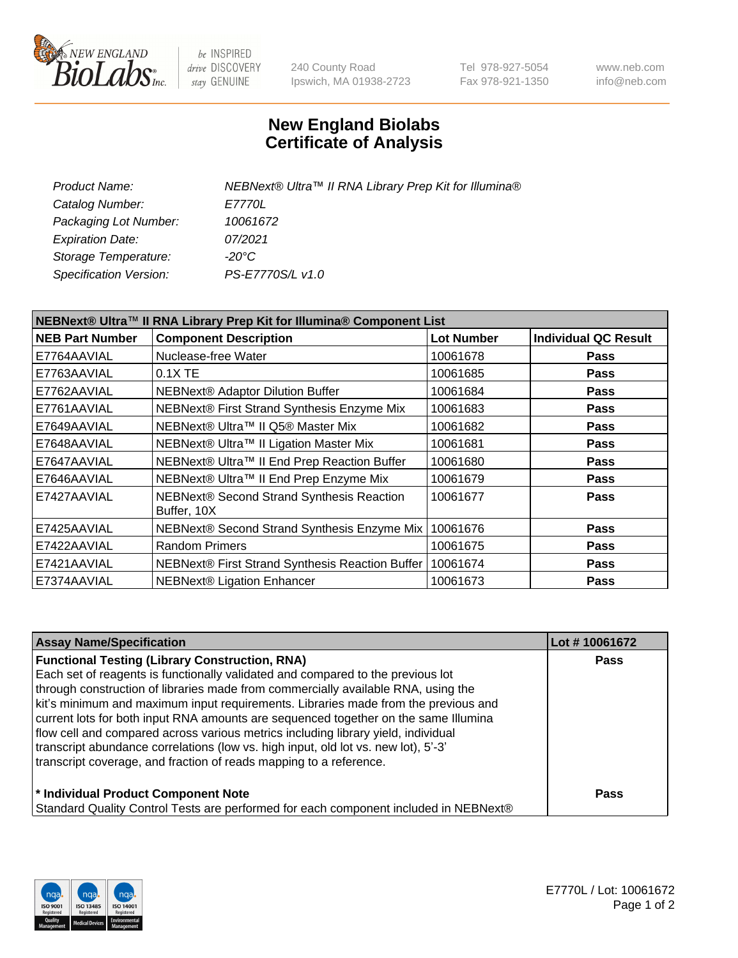

 $be$  INSPIRED drive DISCOVERY stay GENUINE

240 County Road Ipswich, MA 01938-2723 Tel 978-927-5054 Fax 978-921-1350 www.neb.com info@neb.com

## **New England Biolabs Certificate of Analysis**

| NEBNext® Ultra™ II RNA Library Prep Kit for Illumina® |
|-------------------------------------------------------|
|                                                       |
|                                                       |
|                                                       |
|                                                       |
|                                                       |
|                                                       |

| NEBNext® Ultra™ II RNA Library Prep Kit for Illumina® Component List |                                                            |                   |                             |  |
|----------------------------------------------------------------------|------------------------------------------------------------|-------------------|-----------------------------|--|
| <b>NEB Part Number</b>                                               | <b>Component Description</b>                               | <b>Lot Number</b> | <b>Individual QC Result</b> |  |
| E7764AAVIAL                                                          | Nuclease-free Water                                        | 10061678          | <b>Pass</b>                 |  |
| E7763AAVIAL                                                          | $0.1X$ TE                                                  | 10061685          | <b>Pass</b>                 |  |
| E7762AAVIAL                                                          | <b>NEBNext® Adaptor Dilution Buffer</b>                    | 10061684          | <b>Pass</b>                 |  |
| E7761AAVIAL                                                          | NEBNext® First Strand Synthesis Enzyme Mix                 | 10061683          | <b>Pass</b>                 |  |
| E7649AAVIAL                                                          | NEBNext® Ultra™ II Q5® Master Mix                          | 10061682          | <b>Pass</b>                 |  |
| E7648AAVIAL                                                          | NEBNext® Ultra™ II Ligation Master Mix                     | 10061681          | <b>Pass</b>                 |  |
| E7647AAVIAL                                                          | NEBNext® Ultra™ II End Prep Reaction Buffer                | 10061680          | <b>Pass</b>                 |  |
| E7646AAVIAL                                                          | NEBNext® Ultra™ II End Prep Enzyme Mix                     | 10061679          | <b>Pass</b>                 |  |
| E7427AAVIAL                                                          | NEBNext® Second Strand Synthesis Reaction<br>Buffer, 10X   | 10061677          | <b>Pass</b>                 |  |
| E7425AAVIAL                                                          | NEBNext® Second Strand Synthesis Enzyme Mix                | 10061676          | <b>Pass</b>                 |  |
| E7422AAVIAL                                                          | <b>Random Primers</b>                                      | 10061675          | <b>Pass</b>                 |  |
| E7421AAVIAL                                                          | NEBNext® First Strand Synthesis Reaction Buffer   10061674 |                   | <b>Pass</b>                 |  |
| E7374AAVIAL                                                          | NEBNext® Ligation Enhancer                                 | 10061673          | <b>Pass</b>                 |  |

| <b>Assay Name/Specification</b>                                                      | Lot #10061672 |
|--------------------------------------------------------------------------------------|---------------|
| <b>Functional Testing (Library Construction, RNA)</b>                                | <b>Pass</b>   |
| Each set of reagents is functionally validated and compared to the previous lot      |               |
| through construction of libraries made from commercially available RNA, using the    |               |
| kit's minimum and maximum input requirements. Libraries made from the previous and   |               |
| current lots for both input RNA amounts are sequenced together on the same Illumina  |               |
| flow cell and compared across various metrics including library yield, individual    |               |
| transcript abundance correlations (low vs. high input, old lot vs. new lot), 5'-3'   |               |
| transcript coverage, and fraction of reads mapping to a reference.                   |               |
| * Individual Product Component Note                                                  | Pass          |
| Standard Quality Control Tests are performed for each component included in NEBNext® |               |